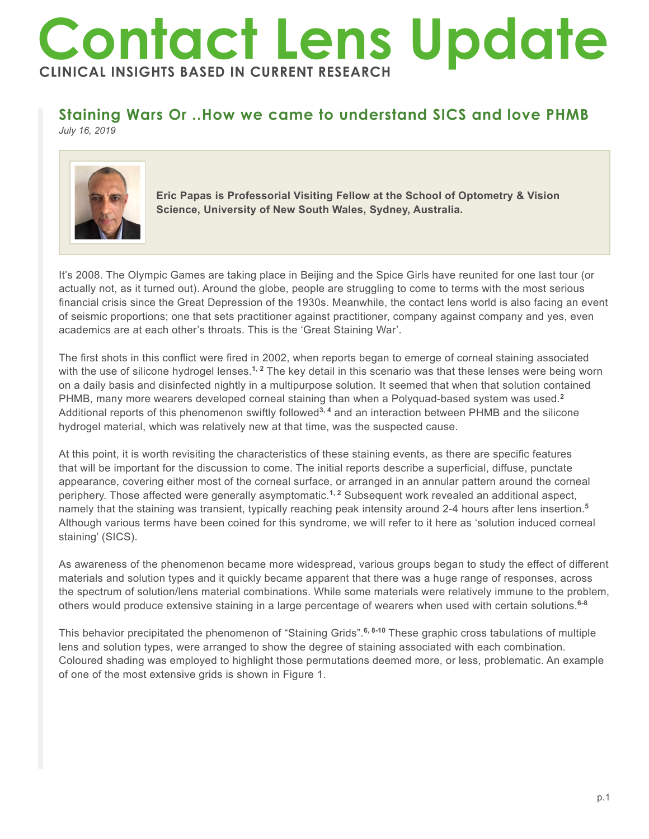## **Contact Lens Update CLINICAL INSIGHTS BASED IN CURRENT RESEARCH**

## **Staining Wars Or ..How we came to understand SICS and love PHMB**

*July 16, 2019*



**Eric Papas is Professorial Visiting Fellow at the School of Optometry & Vision Science, University of New South Wales, Sydney, Australia.**

It's 2008. The Olympic Games are taking place in Beijing and the Spice Girls have reunited for one last tour (or actually not, as it turned out). Around the globe, people are struggling to come to terms with the most serious financial crisis since the Great Depression of the 1930s. Meanwhile, the contact lens world is also facing an event of seismic proportions; one that sets practitioner against practitioner, company against company and yes, even academics are at each other's throats. This is the 'Great Staining War'.

The first shots in this conflict were fired in 2002, when reports began to emerge of corneal staining associated with the use of silicone hydrogel lenses.<sup>1, 2</sup> The key detail in this scenario was that these lenses were being worn on a daily basis and disinfected nightly in a multipurpose solution. It seemed that when that solution contained PHMB, many more wearers developed corneal staining than when a Polyquad-based system was used.**<sup>2</sup>** Additional reports of this phenomenon swiftly followed**3, 4** and an interaction between PHMB and the silicone hydrogel material, which was relatively new at that time, was the suspected cause.

At this point, it is worth revisiting the characteristics of these staining events, as there are specific features that will be important for the discussion to come. The initial reports describe a superficial, diffuse, punctate appearance, covering either most of the corneal surface, or arranged in an annular pattern around the corneal periphery. Those affected were generally asymptomatic.**1, 2** Subsequent work revealed an additional aspect, namely that the staining was transient, typically reaching peak intensity around 2-4 hours after lens insertion.**<sup>5</sup>** Although various terms have been coined for this syndrome, we will refer to it here as 'solution induced corneal staining' (SICS).

As awareness of the phenomenon became more widespread, various groups began to study the effect of different materials and solution types and it quickly became apparent that there was a huge range of responses, across the spectrum of solution/lens material combinations. While some materials were relatively immune to the problem, others would produce extensive staining in a large percentage of wearers when used with certain solutions.**6-8**

This behavior precipitated the phenomenon of "Staining Grids".**6, 8-10** These graphic cross tabulations of multiple lens and solution types, were arranged to show the degree of staining associated with each combination. Coloured shading was employed to highlight those permutations deemed more, or less, problematic. An example of one of the most extensive grids is shown in Figure 1.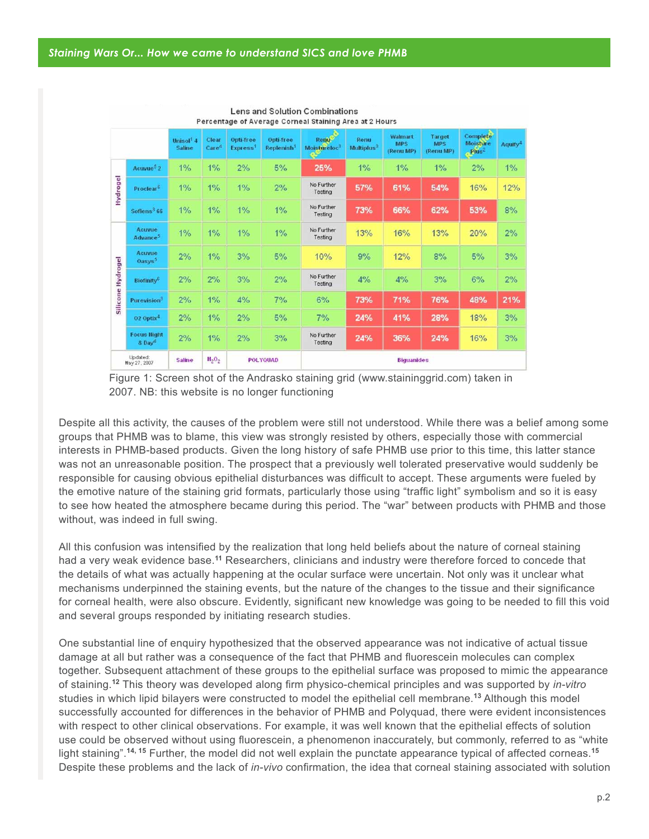|                          |                                          | Unisol <sup>1</sup> 4<br><b>Saline</b> | Clear<br>Care <sup>4</sup> | Opti-free<br>Express <sup>1</sup> | Opti-free<br>Replenish <sup>1</sup> | Renu<br>Moistureloc <sup>3</sup> | Renu<br>Multiplus <sup>3</sup> | Walmart<br><b>MPS</b><br>(Renu MP) | Target<br><b>MPS</b><br>(Renu MP) | Complete<br><b>Moisture</b><br>Plus <sup>2</sup> | Aquify <sup>4</sup> |
|--------------------------|------------------------------------------|----------------------------------------|----------------------------|-----------------------------------|-------------------------------------|----------------------------------|--------------------------------|------------------------------------|-----------------------------------|--------------------------------------------------|---------------------|
| Hydrogel                 | Acuvue <sup>5</sup> $2$                  | $1\%$                                  | $1\%$                      | 2%                                | 5%                                  | 25%                              | 1%                             | $1\%$                              | 1%                                | 2%                                               | $1\%$               |
|                          | Proclear <sup>6</sup>                    | $1\%$                                  | $1\%$                      | $1\%$                             | 2%                                  | No Further<br>Testing            | 57%                            | 61%                                | 54%                               | 16%                                              | 12%                 |
|                          | Soflens <sup>3</sup> 66                  | 1%                                     | $1\%$                      | $1\%$                             | $1\%$                               | No Further<br>Testing            | 73%                            | 66%                                | 62%                               | 53%                                              | 8%                  |
| Hydrogel<br>Silicone     | Acuvue<br>Advance <sup>5</sup>           | $1\%$                                  | 1%                         | $1\%$                             | $1\%$                               | No Further<br>Testina            | 13%                            | 16%                                | 13%                               | 20%                                              | 2%                  |
|                          | <b>Activitie</b><br>Oasys <sup>5</sup>   | 2%                                     | $1\%$                      | 3%                                | 5%                                  | 10%                              | 9%                             | 12%                                | 8%                                | 5%                                               | 3%                  |
|                          | <b>Biofinity<sup>6</sup></b>             | 2%                                     | 2%                         | 3%                                | 2%                                  | No Further<br>Testing            | 4%                             | 4%                                 | 3%                                | 6%                                               | 2%                  |
|                          | Purevision <sup>3</sup>                  | 2%                                     | $1\%$                      | 4%                                | 7%                                  | 6%                               | 73%                            | 71%                                | 76%                               | 48%                                              | 21%                 |
|                          | $02$ Optix <sup>4</sup>                  | 2%                                     | 1%                         | 2%                                | 5%                                  | 7%                               | 24%                            | 41%                                | 28%                               | 18%                                              | 3%                  |
|                          | <b>Focus Hight</b><br>8 Day <sup>4</sup> | 2%                                     | $1\%$                      | 2%                                | 3%                                  | No Further<br>Testing            | 24%                            | 36%                                | 24%                               | 16%                                              | 3%                  |
| Updated:<br>May 27, 2007 |                                          | <b>Saline</b>                          | $H_{2}O_{2}$               |                                   | <b>POLYOUAD</b>                     | <b>Biguanides</b>                |                                |                                    |                                   |                                                  |                     |

## Lens and Solution Combinations Percentage of Average Corneal Staining Area at 2 Hours

Figure 1: Screen shot of the Andrasko staining grid (www.staininggrid.com) taken in 2007. NB: this website is no longer functioning

Despite all this activity, the causes of the problem were still not understood. While there was a belief among some groups that PHMB was to blame, this view was strongly resisted by others, especially those with commercial interests in PHMB-based products. Given the long history of safe PHMB use prior to this time, this latter stance was not an unreasonable position. The prospect that a previously well tolerated preservative would suddenly be responsible for causing obvious epithelial disturbances was difficult to accept. These arguments were fueled by the emotive nature of the staining grid formats, particularly those using "traffic light" symbolism and so it is easy to see how heated the atmosphere became during this period. The "war" between products with PHMB and those without, was indeed in full swing.

All this confusion was intensified by the realization that long held beliefs about the nature of corneal staining had a very weak evidence base.**<sup>11</sup>** Researchers, clinicians and industry were therefore forced to concede that the details of what was actually happening at the ocular surface were uncertain. Not only was it unclear what mechanisms underpinned the staining events, but the nature of the changes to the tissue and their significance for corneal health, were also obscure. Evidently, significant new knowledge was going to be needed to fill this void and several groups responded by initiating research studies.

One substantial line of enquiry hypothesized that the observed appearance was not indicative of actual tissue damage at all but rather was a consequence of the fact that PHMB and fluorescein molecules can complex together. Subsequent attachment of these groups to the epithelial surface was proposed to mimic the appearance of staining.**<sup>12</sup>** This theory was developed along firm physico-chemical principles and was supported by *in-vitro* studies in which lipid bilayers were constructed to model the epithelial cell membrane.**<sup>13</sup>** Although this model successfully accounted for differences in the behavior of PHMB and Polyquad, there were evident inconsistences with respect to other clinical observations. For example, it was well known that the epithelial effects of solution use could be observed without using fluorescein, a phenomenon inaccurately, but commonly, referred to as "white light staining".**14, 15** Further, the model did not well explain the punctate appearance typical of affected corneas.**<sup>15</sup>** Despite these problems and the lack of *in-vivo* confirmation, the idea that corneal staining associated with solution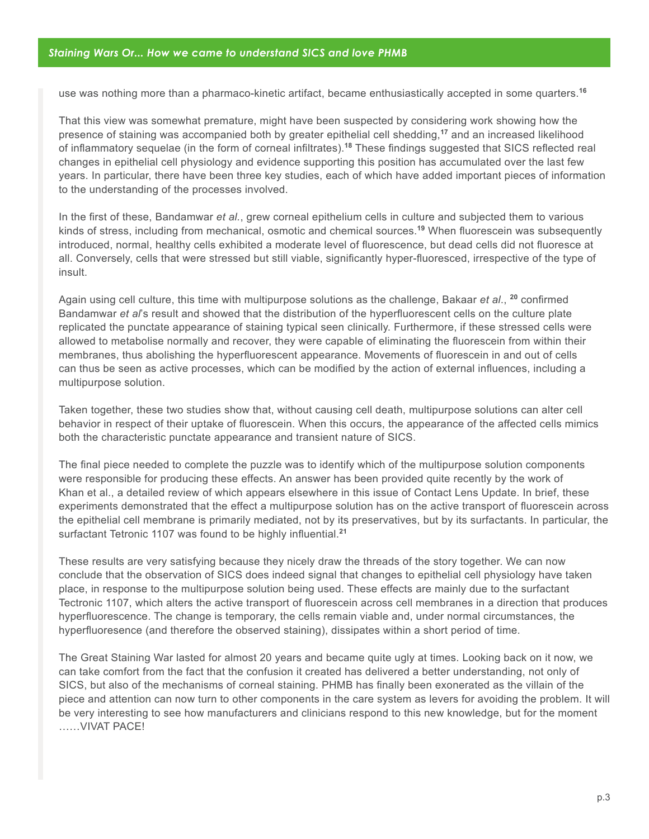use was nothing more than a pharmaco-kinetic artifact, became enthusiastically accepted in some quarters.**<sup>16</sup>**

That this view was somewhat premature, might have been suspected by considering work showing how the presence of staining was accompanied both by greater epithelial cell shedding,**<sup>17</sup>** and an increased likelihood of inflammatory sequelae (in the form of corneal infiltrates).**<sup>18</sup>** These findings suggested that SICS reflected real changes in epithelial cell physiology and evidence supporting this position has accumulated over the last few years. In particular, there have been three key studies, each of which have added important pieces of information to the understanding of the processes involved.

In the first of these, Bandamwar *et al.*, grew corneal epithelium cells in culture and subjected them to various kinds of stress, including from mechanical, osmotic and chemical sources.**<sup>19</sup>** When fluorescein was subsequently introduced, normal, healthy cells exhibited a moderate level of fluorescence, but dead cells did not fluoresce at all. Conversely, cells that were stressed but still viable, significantly hyper-fluoresced, irrespective of the type of insult.

Again using cell culture, this time with multipurpose solutions as the challenge, Bakaar *et al*., **<sup>20</sup>** confirmed Bandamwar *et al*'s result and showed that the distribution of the hyperfluorescent cells on the culture plate replicated the punctate appearance of staining typical seen clinically. Furthermore, if these stressed cells were allowed to metabolise normally and recover, they were capable of eliminating the fluorescein from within their membranes, thus abolishing the hyperfluorescent appearance. Movements of fluorescein in and out of cells can thus be seen as active processes, which can be modified by the action of external influences, including a multipurpose solution.

Taken together, these two studies show that, without causing cell death, multipurpose solutions can alter cell behavior in respect of their uptake of fluorescein. When this occurs, the appearance of the affected cells mimics both the characteristic punctate appearance and transient nature of SICS.

The final piece needed to complete the puzzle was to identify which of the multipurpose solution components were responsible for producing these effects. An answer has been provided quite recently by the work of Khan et al., a detailed review of which appears elsewhere in this issue of Contact Lens Update. In brief, these experiments demonstrated that the effect a multipurpose solution has on the active transport of fluorescein across the epithelial cell membrane is primarily mediated, not by its preservatives, but by its surfactants. In particular, the surfactant Tetronic 1107 was found to be highly influential.**<sup>21</sup>**

These results are very satisfying because they nicely draw the threads of the story together. We can now conclude that the observation of SICS does indeed signal that changes to epithelial cell physiology have taken place, in response to the multipurpose solution being used. These effects are mainly due to the surfactant Tectronic 1107, which alters the active transport of fluorescein across cell membranes in a direction that produces hyperfluorescence. The change is temporary, the cells remain viable and, under normal circumstances, the hyperfluoresence (and therefore the observed staining), dissipates within a short period of time.

The Great Staining War lasted for almost 20 years and became quite ugly at times. Looking back on it now, we can take comfort from the fact that the confusion it created has delivered a better understanding, not only of SICS, but also of the mechanisms of corneal staining. PHMB has finally been exonerated as the villain of the piece and attention can now turn to other components in the care system as levers for avoiding the problem. It will be very interesting to see how manufacturers and clinicians respond to this new knowledge, but for the moment ……VIVAT PACE!